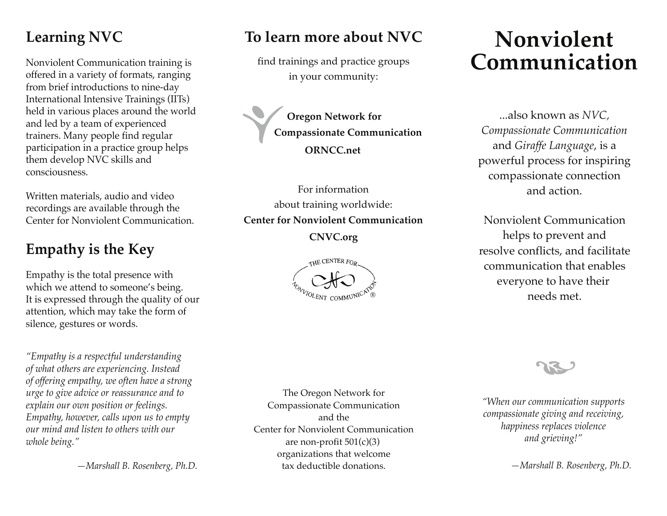## **Learning NVC**

Nonviolent Communication training is offered in a variety of formats, ranging from brief introductions to nine-day International Intensive Trainings (IITs) held in various places around the world and led by a team of experienced trainers. Many people find regular participation in a practice group helps them develop NVC skills and consciousness.

Written materials, audio and video recordings are available through the Center for Nonviolent Communication.

### **Empathy is the Key**

Empathy is the total presence with which we attend to someone's being. It is expressed through the quality of our attention, which may take the form of silence, gestures or words.

*"Empathy is a respectful understanding of what others are experiencing. Instead of offering empathy, we often have a strong urge to give advice or reassurance and to explain our own position or feelings. Empathy, however, calls upon us to empty our mind and listen to others with our whole being."*

 *—Marshall B. Rosenberg, Ph.D.*

### **To learn more about NVC**

find trainings and practice groups in your community:

**Oregon Network for Compassionate Communication ORNCC.net**

For information about training worldwide: **Center for Nonviolent Communication**

**CNVC.org**



# **Nonviolent Communication**

**Oregon Network for** ...also known as *NVC, Compassionate Communication* and *Giraffe Language*, is a powerful process for inspiring compassionate connection and action.

Nonviolent Communication helps to prevent and resolve conflicts, and facilitate communication that enables everyone to have their needs met.

*"When our communication supports compassionate giving and receiving, happiness replaces violence and grieving!"*

 *—Marshall B. Rosenberg, Ph.D.*

The Oregon Network for Compassionate Communication and the Center for Nonviolent Communication are non-profit  $501(c)(3)$ organizations that welcome tax deductible donations.